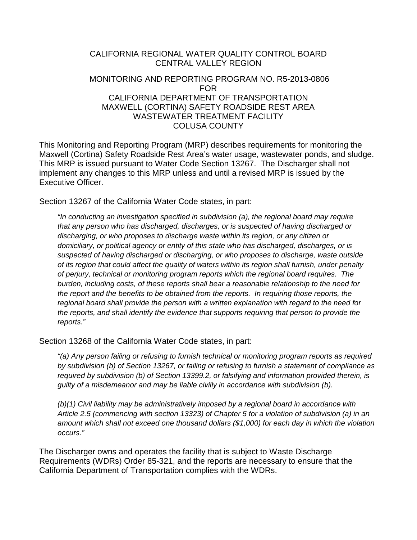## CALIFORNIA REGIONAL WATER QUALITY CONTROL BOARD CENTRAL VALLEY REGION MONITORING AND REPORTING PROGRAM NO. R5-2013-0806 FOR CALIFORNIA DEPARTMENT OF TRANSPORTATION MAXWELL (CORTINA) SAFETY ROADSIDE REST AREA

# WASTEWATER TREATMENT FACILITY COLUSA COUNTY

This Monitoring and Reporting Program (MRP) describes requirements for monitoring the Maxwell (Cortina) Safety Roadside Rest Area's water usage, wastewater ponds, and sludge. This MRP is issued pursuant to Water Code Section 13267. The Discharger shall not implement any changes to this MRP unless and until a revised MRP is issued by the Executive Officer.

Section 13267 of the California Water Code states, in part:

*"In conducting an investigation specified in subdivision (a), the regional board may require that any person who has discharged, discharges, or is suspected of having discharged or discharging, or who proposes to discharge waste within its region, or any citizen or domiciliary, or political agency or entity of this state who has discharged, discharges, or is suspected of having discharged or discharging, or who proposes to discharge, waste outside of its region that could affect the quality of waters within its region shall furnish, under penalty of perjury, technical or monitoring program reports which the regional board requires. The burden, including costs, of these reports shall bear a reasonable relationship to the need for the report and the benefits to be obtained from the reports. In requiring those reports, the regional board shall provide the person with a written explanation with regard to the need for the reports, and shall identify the evidence that supports requiring that person to provide the reports."*

Section 13268 of the California Water Code states, in part:

*"(a) Any person failing or refusing to furnish technical or monitoring program reports as required by subdivision (b) of Section 13267, or failing or refusing to furnish a statement of compliance as required by subdivision (b) of Section 13399.2, or falsifying and information provided therein, is guilty of a misdemeanor and may be liable civilly in accordance with subdivision (b).*

*(b)(1) Civil liability may be administratively imposed by a regional board in accordance with Article 2.5 (commencing with section 13323) of Chapter 5 for a violation of subdivision (a) in an amount which shall not exceed one thousand dollars (\$1,000) for each day in which the violation occurs."*

The Discharger owns and operates the facility that is subject to Waste Discharge Requirements (WDRs) Order 85-321, and the reports are necessary to ensure that the California Department of Transportation complies with the WDRs.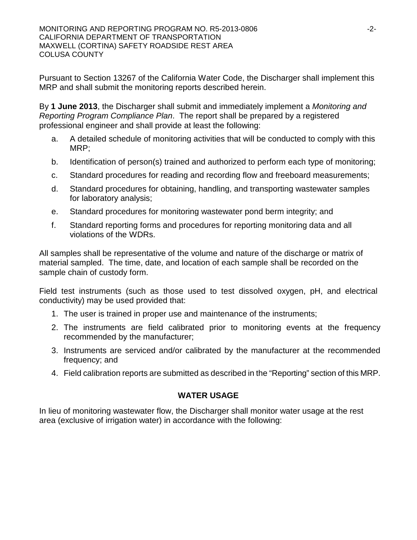Pursuant to Section 13267 of the California Water Code, the Discharger shall implement this MRP and shall submit the monitoring reports described herein.

By **1 June 2013**, the Discharger shall submit and immediately implement a *Monitoring and Reporting Program Compliance Plan*. The report shall be prepared by a registered professional engineer and shall provide at least the following:

- a. A detailed schedule of monitoring activities that will be conducted to comply with this MRP;
- b. Identification of person(s) trained and authorized to perform each type of monitoring;
- c. Standard procedures for reading and recording flow and freeboard measurements;
- d. Standard procedures for obtaining, handling, and transporting wastewater samples for laboratory analysis;
- e. Standard procedures for monitoring wastewater pond berm integrity; and
- f. Standard reporting forms and procedures for reporting monitoring data and all violations of the WDRs.

All samples shall be representative of the volume and nature of the discharge or matrix of material sampled. The time, date, and location of each sample shall be recorded on the sample chain of custody form.

Field test instruments (such as those used to test dissolved oxygen, pH, and electrical conductivity) may be used provided that:

- 1. The user is trained in proper use and maintenance of the instruments;
- 2. The instruments are field calibrated prior to monitoring events at the frequency recommended by the manufacturer;
- 3. Instruments are serviced and/or calibrated by the manufacturer at the recommended frequency; and
- 4. Field calibration reports are submitted as described in the "Reporting" section of this MRP.

## **WATER USAGE**

In lieu of monitoring wastewater flow, the Discharger shall monitor water usage at the rest area (exclusive of irrigation water) in accordance with the following: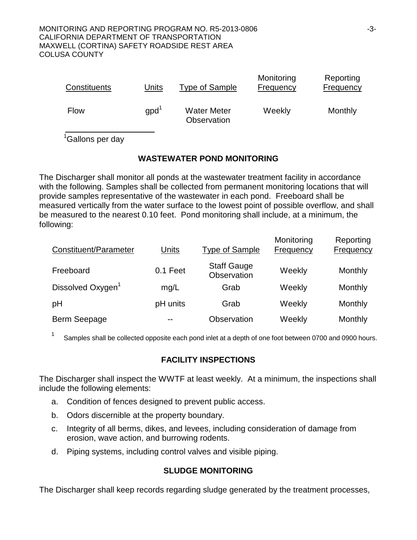| Constituents | Units            | Type of Sample                           | Monitoring<br>Frequency | Reporting<br><b>Frequency</b> |
|--------------|------------------|------------------------------------------|-------------------------|-------------------------------|
| <b>Flow</b>  | gpd <sup>1</sup> | <b>Water Meter</b><br><b>Observation</b> | Weekly                  | Monthly                       |

<sup>1</sup>Gallons per day

## **WASTEWATER POND MONITORING**

The Discharger shall monitor all ponds at the wastewater treatment facility in accordance with the following. Samples shall be collected from permanent monitoring locations that will provide samples representative of the wastewater in each pond. Freeboard shall be measured vertically from the water surface to the lowest point of possible overflow, and shall be measured to the nearest 0.10 feet. Pond monitoring shall include, at a minimum, the following:

| Constituent/Parameter         | <b>Units</b> | <b>Type of Sample</b>             | Monitoring<br>Frequency | Reporting<br><b>Frequency</b> |
|-------------------------------|--------------|-----------------------------------|-------------------------|-------------------------------|
| Freeboard                     | 0.1 Feet     | <b>Staff Gauge</b><br>Observation | Weekly                  | Monthly                       |
| Dissolved Oxygen <sup>1</sup> | mg/L         | Grab                              | Weekly                  | Monthly                       |
| pH                            | pH units     | Grab                              | Weekly                  | Monthly                       |
| Berm Seepage                  |              | Observation                       | Weekly                  | Monthly                       |

<sup>1</sup> Samples shall be collected opposite each pond inlet at a depth of one foot between 0700 and 0900 hours.

## **FACILITY INSPECTIONS**

The Discharger shall inspect the WWTF at least weekly. At a minimum, the inspections shall include the following elements:

- a. Condition of fences designed to prevent public access.
- b. Odors discernible at the property boundary.
- c. Integrity of all berms, dikes, and levees, including consideration of damage from erosion, wave action, and burrowing rodents.
- d. Piping systems, including control valves and visible piping.

## **SLUDGE MONITORING**

The Discharger shall keep records regarding sludge generated by the treatment processes,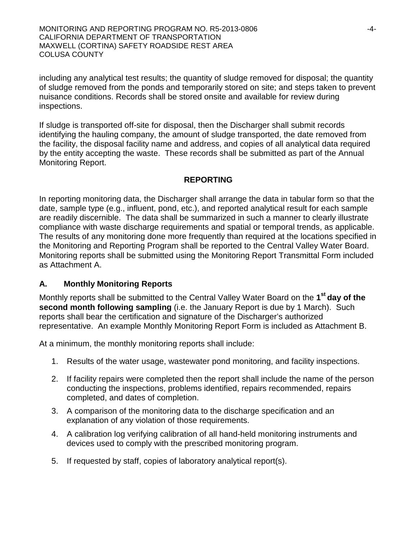MONITORING AND REPORTING PROGRAM NO. R5-2013-0806 -4- CALIFORNIA DEPARTMENT OF TRANSPORTATION MAXWELL (CORTINA) SAFETY ROADSIDE REST AREA COLUSA COUNTY

including any analytical test results; the quantity of sludge removed for disposal; the quantity of sludge removed from the ponds and temporarily stored on site; and steps taken to prevent nuisance conditions. Records shall be stored onsite and available for review during inspections.

If sludge is transported off-site for disposal, then the Discharger shall submit records identifying the hauling company, the amount of sludge transported, the date removed from the facility, the disposal facility name and address, and copies of all analytical data required by the entity accepting the waste. These records shall be submitted as part of the Annual Monitoring Report.

#### **REPORTING**

In reporting monitoring data, the Discharger shall arrange the data in tabular form so that the date, sample type (e.g., influent, pond, etc.), and reported analytical result for each sample are readily discernible. The data shall be summarized in such a manner to clearly illustrate compliance with waste discharge requirements and spatial or temporal trends, as applicable. The results of any monitoring done more frequently than required at the locations specified in the Monitoring and Reporting Program shall be reported to the Central Valley Water Board. Monitoring reports shall be submitted using the Monitoring Report Transmittal Form included as Attachment A.

#### **A. Monthly Monitoring Reports**

Monthly reports shall be submitted to the Central Valley Water Board on the **1st day of the second month following sampling** (i.e. the January Report is due by 1 March). Such reports shall bear the certification and signature of the Discharger's authorized representative.An example Monthly Monitoring Report Form is included as Attachment B.

At a minimum, the monthly monitoring reports shall include:

- 1. Results of the water usage, wastewater pond monitoring, and facility inspections.
- 2. If facility repairs were completed then the report shall include the name of the person conducting the inspections, problems identified, repairs recommended, repairs completed, and dates of completion.
- 3. A comparison of the monitoring data to the discharge specification and an explanation of any violation of those requirements.
- 4. A calibration log verifying calibration of all hand-held monitoring instruments and devices used to comply with the prescribed monitoring program.
- 5. If requested by staff, copies of laboratory analytical report(s).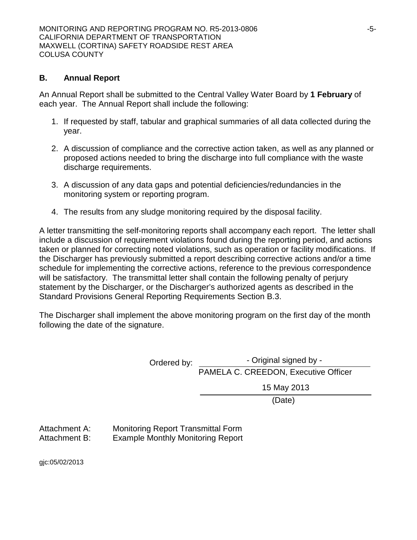#### **B. Annual Report**

An Annual Report shall be submitted to the Central Valley Water Board by **1 February** of each year. The Annual Report shall include the following:

- 1. If requested by staff, tabular and graphical summaries of all data collected during the year.
- 2. A discussion of compliance and the corrective action taken, as well as any planned or proposed actions needed to bring the discharge into full compliance with the waste discharge requirements.
- 3. A discussion of any data gaps and potential deficiencies/redundancies in the monitoring system or reporting program.
- 4. The results from any sludge monitoring required by the disposal facility.

A letter transmitting the self-monitoring reports shall accompany each report. The letter shall include a discussion of requirement violations found during the reporting period, and actions taken or planned for correcting noted violations, such as operation or facility modifications. If the Discharger has previously submitted a report describing corrective actions and/or a time schedule for implementing the corrective actions, reference to the previous correspondence will be satisfactory. The transmittal letter shall contain the following penalty of perjury statement by the Discharger, or the Discharger's authorized agents as described in the Standard Provisions General Reporting Requirements Section B.3.

The Discharger shall implement the above monitoring program on the first day of the month following the date of the signature.

| - Original signed by -               |  |  |  |
|--------------------------------------|--|--|--|
| PAMELA C. CREEDON, Executive Officer |  |  |  |
| 15 May 2013                          |  |  |  |
| (Date)                               |  |  |  |
|                                      |  |  |  |

Attachment A: Monitoring Report Transmittal Form Attachment B: Example Monthly Monitoring Report

gjc:05/02/2013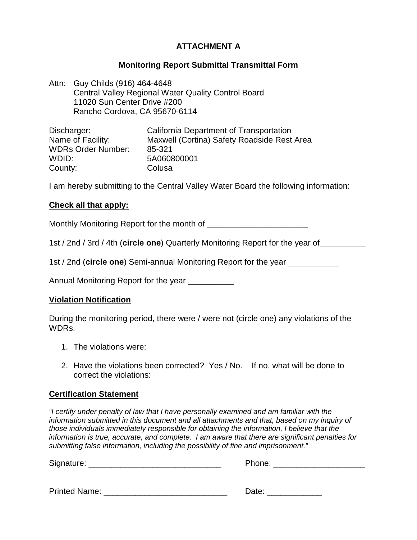## **ATTACHMENT A**

#### **Monitoring Report Submittal Transmittal Form**

Attn: Guy Childs (916) 464-4648 Central Valley Regional Water Quality Control Board 11020 Sun Center Drive #200 Rancho Cordova, CA 95670-6114

| Discharger:               | California Department of Transportation     |
|---------------------------|---------------------------------------------|
| Name of Facility:         | Maxwell (Cortina) Safety Roadside Rest Area |
| <b>WDRs Order Number:</b> | 85-321                                      |
| WDID:                     | 5A060800001                                 |
| County:                   | Colusa                                      |

I am hereby submitting to the Central Valley Water Board the following information:

#### **Check all that apply:**

Monthly Monitoring Report for the month of \_\_\_\_\_\_\_\_\_\_\_\_\_\_\_\_\_\_\_\_\_\_

1st / 2nd / 3rd / 4th (**circle one**) Quarterly Monitoring Report for the year of\_\_\_\_\_\_\_\_\_\_

1st / 2nd (**circle one**) Semi-annual Monitoring Report for the year \_\_\_\_\_\_\_\_\_\_\_

Annual Monitoring Report for the year \_\_\_\_\_\_\_\_\_\_

#### **Violation Notification**

During the monitoring period, there were / were not (circle one) any violations of the WDRs.

- 1. The violations were:
- 2. Have the violations been corrected? Yes / No. If no, what will be done to correct the violations:

#### **Certification Statement**

*"I certify under penalty of law that I have personally examined and am familiar with the information submitted in this document and all attachments and that, based on my inquiry of those individuals immediately responsible for obtaining the information, I believe that the information is true, accurate, and complete. I am aware that there are significant penalties for submitting false information, including the possibility of fine and imprisonment."*

Signature: \_\_\_\_\_\_\_\_\_\_\_\_\_\_\_\_\_\_\_\_\_\_\_\_\_\_\_\_\_ Phone: \_\_\_\_\_\_\_\_\_\_\_\_\_\_\_\_\_\_\_\_

| <b>Printed Name:</b> | Jate |
|----------------------|------|
|----------------------|------|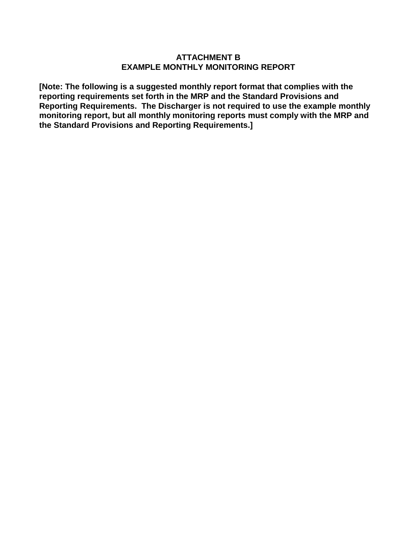#### **ATTACHMENT B EXAMPLE MONTHLY MONITORING REPORT**

**[Note: The following is a suggested monthly report format that complies with the reporting requirements set forth in the MRP and the Standard Provisions and Reporting Requirements. The Discharger is not required to use the example monthly monitoring report, but all monthly monitoring reports must comply with the MRP and the Standard Provisions and Reporting Requirements.]**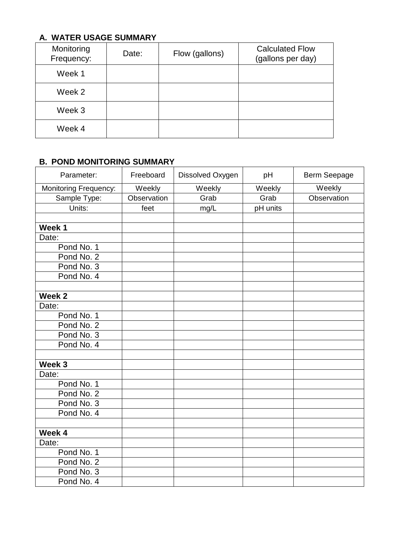## **A. WATER USAGE SUMMARY**

| Monitoring<br>Frequency: | Date: | Flow (gallons) | <b>Calculated Flow</b><br>(gallons per day) |
|--------------------------|-------|----------------|---------------------------------------------|
| Week 1                   |       |                |                                             |
| Week 2                   |       |                |                                             |
| Week 3                   |       |                |                                             |
| Week 4                   |       |                |                                             |

### **B. POND MONITORING SUMMARY**

| Parameter:            | Freeboard   | Dissolved Oxygen | pH       | Berm Seepage |
|-----------------------|-------------|------------------|----------|--------------|
| Monitoring Frequency: | Weekly      | Weekly           | Weekly   | Weekly       |
| Sample Type:          | Observation | Grab             | Grab     | Observation  |
| Units:                | feet        | mg/L             | pH units |              |
|                       |             |                  |          |              |
| Week 1                |             |                  |          |              |
| Date:                 |             |                  |          |              |
| Pond No. 1            |             |                  |          |              |
| Pond No. 2            |             |                  |          |              |
| Pond No. 3            |             |                  |          |              |
| Pond No. 4            |             |                  |          |              |
|                       |             |                  |          |              |
| Week <sub>2</sub>     |             |                  |          |              |
| Date:                 |             |                  |          |              |
| Pond No. 1            |             |                  |          |              |
| Pond No. 2            |             |                  |          |              |
| Pond No. 3            |             |                  |          |              |
| Pond No. 4            |             |                  |          |              |
|                       |             |                  |          |              |
| Week 3                |             |                  |          |              |
| Date:                 |             |                  |          |              |
| Pond No. 1            |             |                  |          |              |
| Pond No. 2            |             |                  |          |              |
| Pond No. 3            |             |                  |          |              |
| Pond No. 4            |             |                  |          |              |
|                       |             |                  |          |              |
| Week 4                |             |                  |          |              |
| Date:                 |             |                  |          |              |
| Pond No. 1            |             |                  |          |              |
| Pond No. 2            |             |                  |          |              |
| Pond No. 3            |             |                  |          |              |
| Pond No. 4            |             |                  |          |              |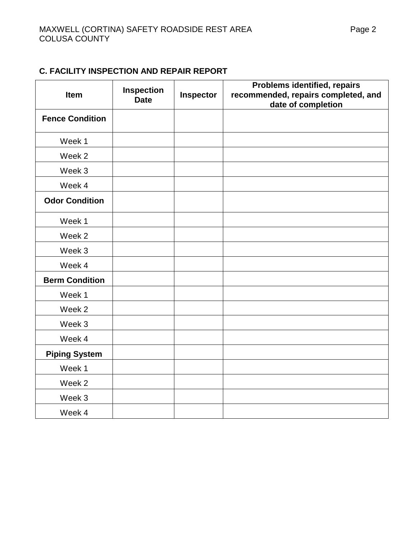## **C. FACILITY INSPECTION AND REPAIR REPORT**

| Item                   | Inspection<br><b>Date</b> | Inspector | <b>Problems identified, repairs</b><br>recommended, repairs completed, and<br>date of completion |
|------------------------|---------------------------|-----------|--------------------------------------------------------------------------------------------------|
| <b>Fence Condition</b> |                           |           |                                                                                                  |
| Week 1                 |                           |           |                                                                                                  |
| Week 2                 |                           |           |                                                                                                  |
| Week 3                 |                           |           |                                                                                                  |
| Week 4                 |                           |           |                                                                                                  |
| <b>Odor Condition</b>  |                           |           |                                                                                                  |
| Week 1                 |                           |           |                                                                                                  |
| Week 2                 |                           |           |                                                                                                  |
| Week 3                 |                           |           |                                                                                                  |
| Week 4                 |                           |           |                                                                                                  |
| <b>Berm Condition</b>  |                           |           |                                                                                                  |
| Week 1                 |                           |           |                                                                                                  |
| Week 2                 |                           |           |                                                                                                  |
| Week 3                 |                           |           |                                                                                                  |
| Week 4                 |                           |           |                                                                                                  |
| <b>Piping System</b>   |                           |           |                                                                                                  |
| Week 1                 |                           |           |                                                                                                  |
| Week 2                 |                           |           |                                                                                                  |
| Week 3                 |                           |           |                                                                                                  |
| Week 4                 |                           |           |                                                                                                  |